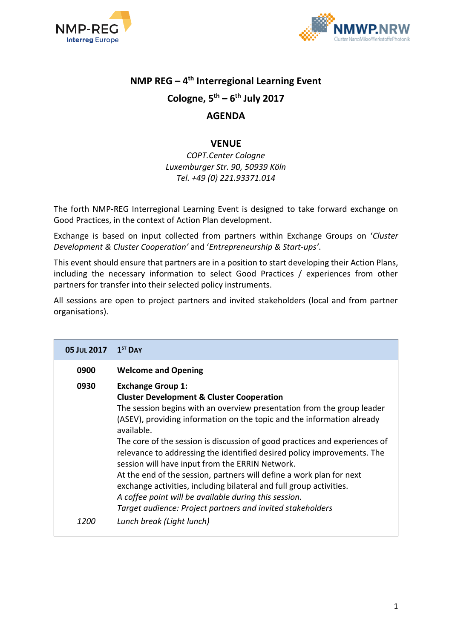



# **NMP REG – 4 th Interregional Learning Event**

# **Cologne, 5th – 6 th July 2017**

# **AGENDA**

### **VENUE**

*COPT.Center Cologne Luxemburger Str. 90, 50939 Köln Tel. +49 (0) 221.93371.014*

The forth NMP-REG Interregional Learning Event is designed to take forward exchange on Good Practices, in the context of Action Plan development.

Exchange is based on input collected from partners within Exchange Groups on '*Cluster Development & Cluster Cooperation'* and '*Entrepreneurship & Start-ups'*.

This event should ensure that partners are in a position to start developing their Action Plans, including the necessary information to select Good Practices / experiences from other partners for transfer into their selected policy instruments.

All sessions are open to project partners and invited stakeholders (local and from partner organisations).

| <b>05 JUL 2017</b> | $15T$ DAY                                                                                                                                                                                                                                                                                                                                                                                                                                                                                                                                                                                                                                                                                                                            |
|--------------------|--------------------------------------------------------------------------------------------------------------------------------------------------------------------------------------------------------------------------------------------------------------------------------------------------------------------------------------------------------------------------------------------------------------------------------------------------------------------------------------------------------------------------------------------------------------------------------------------------------------------------------------------------------------------------------------------------------------------------------------|
| 0900               | <b>Welcome and Opening</b>                                                                                                                                                                                                                                                                                                                                                                                                                                                                                                                                                                                                                                                                                                           |
| 0930               | <b>Exchange Group 1:</b><br><b>Cluster Development &amp; Cluster Cooperation</b><br>The session begins with an overview presentation from the group leader<br>(ASEV), providing information on the topic and the information already<br>available.<br>The core of the session is discussion of good practices and experiences of<br>relevance to addressing the identified desired policy improvements. The<br>session will have input from the ERRIN Network.<br>At the end of the session, partners will define a work plan for next<br>exchange activities, including bilateral and full group activities.<br>A coffee point will be available during this session.<br>Target audience: Project partners and invited stakeholders |
| 1200               | Lunch break (Light lunch)                                                                                                                                                                                                                                                                                                                                                                                                                                                                                                                                                                                                                                                                                                            |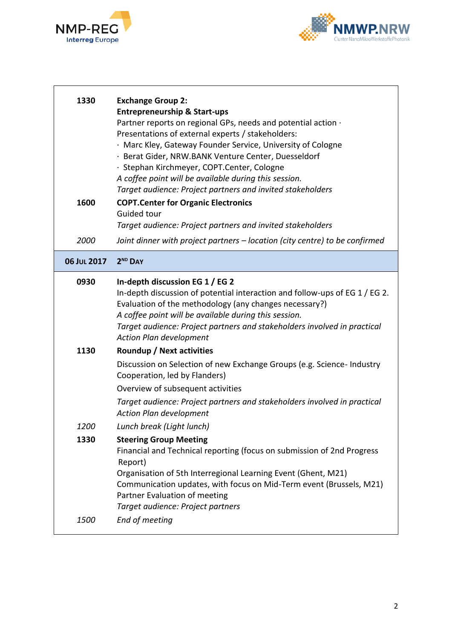



٦

| 1330         | <b>Exchange Group 2:</b><br><b>Entrepreneurship &amp; Start-ups</b><br>Partner reports on regional GPs, needs and potential action ·<br>Presentations of external experts / stakeholders:<br>· Marc Kley, Gateway Founder Service, University of Cologne<br>· Berat Gider, NRW.BANK Venture Center, Duesseldorf<br>· Stephan Kirchmeyer, COPT.Center, Cologne<br>A coffee point will be available during this session.<br>Target audience: Project partners and invited stakeholders |
|--------------|--------------------------------------------------------------------------------------------------------------------------------------------------------------------------------------------------------------------------------------------------------------------------------------------------------------------------------------------------------------------------------------------------------------------------------------------------------------------------------------|
| 1600         | <b>COPT.Center for Organic Electronics</b><br>Guided tour<br>Target audience: Project partners and invited stakeholders                                                                                                                                                                                                                                                                                                                                                              |
| 2000         | Joint dinner with project partners – location (city centre) to be confirmed                                                                                                                                                                                                                                                                                                                                                                                                          |
| 06 JUL 2017  | 2 <sup>ND</sup> DAY                                                                                                                                                                                                                                                                                                                                                                                                                                                                  |
| 0930<br>1130 | In-depth discussion EG 1 / EG 2<br>In-depth discussion of potential interaction and follow-ups of EG 1 / EG 2.<br>Evaluation of the methodology (any changes necessary?)<br>A coffee point will be available during this session.<br>Target audience: Project partners and stakeholders involved in practical<br>Action Plan development<br>Roundup / Next activities                                                                                                                |
|              | Discussion on Selection of new Exchange Groups (e.g. Science- Industry<br>Cooperation, led by Flanders)<br>Overview of subsequent activities<br>Target audience: Project partners and stakeholders involved in practical<br><b>Action Plan development</b>                                                                                                                                                                                                                           |
| 1200         | Lunch break (Light lunch)                                                                                                                                                                                                                                                                                                                                                                                                                                                            |
| 1330<br>1500 | <b>Steering Group Meeting</b><br>Financial and Technical reporting (focus on submission of 2nd Progress<br>Report)<br>Organisation of 5th Interregional Learning Event (Ghent, M21)<br>Communication updates, with focus on Mid-Term event (Brussels, M21)<br>Partner Evaluation of meeting<br>Target audience: Project partners<br>End of meeting                                                                                                                                   |
|              |                                                                                                                                                                                                                                                                                                                                                                                                                                                                                      |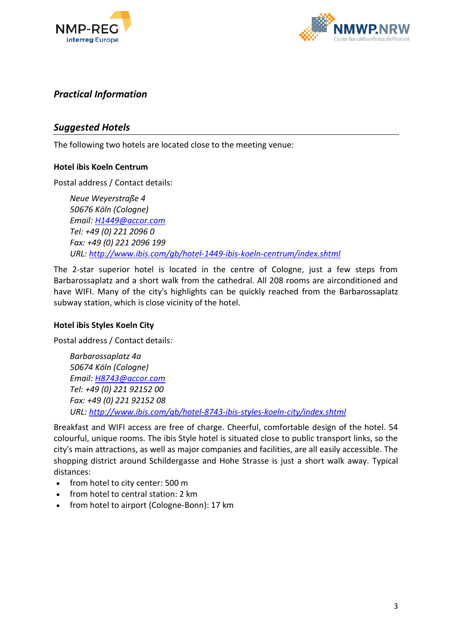



# *Practical Information*

# *Suggested Hotels*

The following two hotels are located close to the meeting venue:

#### **Hotel ibis Koeln Centrum**

Postal address / Contact details:

*Neue Weyerstraße 4 50676 Köln (Cologne) Email: [H1449@accor.com](mailto:H1449@accor.com) Tel: +49 (0) 221 2096 0 Fax: +49 (0) 221 2096 199 URL:<http://www.ibis.com/gb/hotel-1449-ibis-koeln-centrum/index.shtml>*

The 2-star superior hotel is located in the centre of Cologne, just a few steps from Barbarossaplatz and a short walk from the cathedral. All 208 rooms are airconditioned and have WIFI. Many of the city's highlights can be quickly reached from the Barbarossaplatz subway station, which is close vicinity of the hotel.

#### **Hotel ibis Styles Koeln City**

Postal address / Contact details:

*Barbarossaplatz 4a 50674 Köln (Cologne) Email: [H8743@accor.com](mailto:H8743@accor.com) Tel: +49 (0) 221 92152 00 Fax: +49 (0) 221 92152 08 URL:<http://www.ibis.com/gb/hotel-8743-ibis-styles-koeln-city/index.shtml>*

Breakfast and WIFI access are free of charge. Cheerful, comfortable design of the hotel. 54 colourful, unique rooms. The ibis Style hotel is situated close to public transport links, so the city's main attractions, as well as major companies and facilities, are all easily accessible. The shopping district around Schildergasse and Hohe Strasse is just a short walk away. Typical distances:

- from hotel to city center: 500 m
- from hotel to central station: 2 km
- from hotel to airport (Cologne-Bonn): 17 km